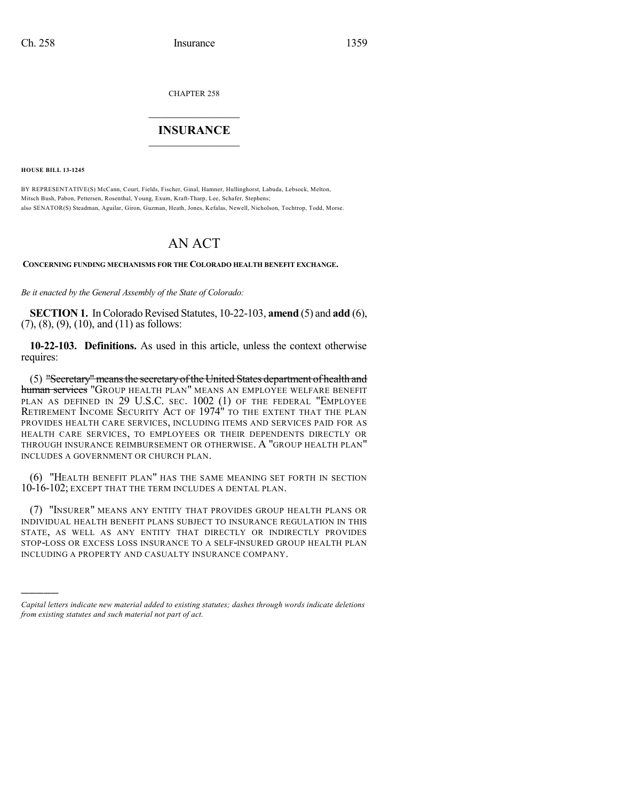CHAPTER 258

## $\mathcal{L}_\text{max}$  . The set of the set of the set of the set of the set of the set of the set of the set of the set of the set of the set of the set of the set of the set of the set of the set of the set of the set of the set **INSURANCE**  $\frac{1}{2}$  ,  $\frac{1}{2}$  ,  $\frac{1}{2}$  ,  $\frac{1}{2}$  ,  $\frac{1}{2}$  ,  $\frac{1}{2}$  ,  $\frac{1}{2}$

**HOUSE BILL 13-1245**

)))))

BY REPRESENTATIVE(S) McCann, Court, Fields, Fischer, Ginal, Hamner, Hullinghorst, Labuda, Lebsock, Melton, Mitsch Bush, Pabon, Pettersen, Rosenthal, Young, Exum, Kraft-Tharp, Lee, Schafer, Stephens; also SENATOR(S) Steadman, Aguilar, Giron, Guzman, Heath, Jones, Kefalas, Newell, Nicholson, Tochtrop, Todd, Morse.

## AN ACT

**CONCERNING FUNDING MECHANISMS FOR THE COLORADO HEALTH BENEFIT EXCHANGE.**

*Be it enacted by the General Assembly of the State of Colorado:*

**SECTION 1.** In Colorado Revised Statutes, 10-22-103, **amend** (5) and **add** (6),  $(7)$ ,  $(8)$ ,  $(9)$ ,  $(10)$ , and  $(11)$  as follows:

**10-22-103. Definitions.** As used in this article, unless the context otherwise requires:

(5) "Secretary"meansthe secretary ofthe United States department of health and <del>human services</del> "Group health plan" means an employee welfare benefit PLAN AS DEFINED IN 29 U.S.C. SEC. 1002 (1) OF THE FEDERAL "EMPLOYEE RETIREMENT INCOME SECURITY ACT OF 1974" TO THE EXTENT THAT THE PLAN PROVIDES HEALTH CARE SERVICES, INCLUDING ITEMS AND SERVICES PAID FOR AS HEALTH CARE SERVICES, TO EMPLOYEES OR THEIR DEPENDENTS DIRECTLY OR THROUGH INSURANCE REIMBURSEMENT OR OTHERWISE. A "GROUP HEALTH PLAN" INCLUDES A GOVERNMENT OR CHURCH PLAN.

(6) "HEALTH BENEFIT PLAN" HAS THE SAME MEANING SET FORTH IN SECTION 10-16-102; EXCEPT THAT THE TERM INCLUDES A DENTAL PLAN.

(7) "INSURER" MEANS ANY ENTITY THAT PROVIDES GROUP HEALTH PLANS OR INDIVIDUAL HEALTH BENEFIT PLANS SUBJECT TO INSURANCE REGULATION IN THIS STATE, AS WELL AS ANY ENTITY THAT DIRECTLY OR INDIRECTLY PROVIDES STOP-LOSS OR EXCESS LOSS INSURANCE TO A SELF-INSURED GROUP HEALTH PLAN INCLUDING A PROPERTY AND CASUALTY INSURANCE COMPANY.

*Capital letters indicate new material added to existing statutes; dashes through words indicate deletions from existing statutes and such material not part of act.*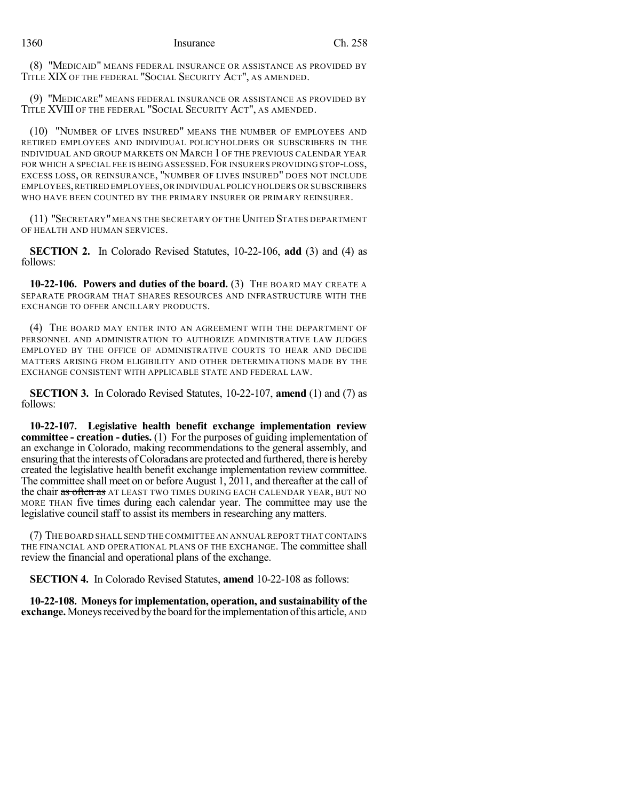(8) "MEDICAID" MEANS FEDERAL INSURANCE OR ASSISTANCE AS PROVIDED BY TITLE XIX OF THE FEDERAL "SOCIAL SECURITY ACT", AS AMENDED.

(9) "MEDICARE" MEANS FEDERAL INSURANCE OR ASSISTANCE AS PROVIDED BY TITLE XVIII OF THE FEDERAL "SOCIAL SECURITY ACT", AS AMENDED.

(10) "NUMBER OF LIVES INSURED" MEANS THE NUMBER OF EMPLOYEES AND RETIRED EMPLOYEES AND INDIVIDUAL POLICYHOLDERS OR SUBSCRIBERS IN THE INDIVIDUAL AND GROUP MARKETS ON MARCH 1 OF THE PREVIOUS CALENDAR YEAR FOR WHICH A SPECIAL FEE IS BEING ASSESSED. FOR INSURERS PROVIDING STOP-LOSS, EXCESS LOSS, OR REINSURANCE, "NUMBER OF LIVES INSURED" DOES NOT INCLUDE EMPLOYEES,RETIRED EMPLOYEES,OR INDIVIDUAL POLICYHOLDERS OR SUBSCRIBERS WHO HAVE BEEN COUNTED BY THE PRIMARY INSURER OR PRIMARY REINSURER.

(11) "SECRETARY"MEANS THE SECRETARY OF THEUNITED STATES DEPARTMENT OF HEALTH AND HUMAN SERVICES.

**SECTION 2.** In Colorado Revised Statutes, 10-22-106, **add** (3) and (4) as follows:

**10-22-106. Powers and duties of the board.** (3) THE BOARD MAY CREATE A SEPARATE PROGRAM THAT SHARES RESOURCES AND INFRASTRUCTURE WITH THE EXCHANGE TO OFFER ANCILLARY PRODUCTS.

(4) THE BOARD MAY ENTER INTO AN AGREEMENT WITH THE DEPARTMENT OF PERSONNEL AND ADMINISTRATION TO AUTHORIZE ADMINISTRATIVE LAW JUDGES EMPLOYED BY THE OFFICE OF ADMINISTRATIVE COURTS TO HEAR AND DECIDE MATTERS ARISING FROM ELIGIBILITY AND OTHER DETERMINATIONS MADE BY THE EXCHANGE CONSISTENT WITH APPLICABLE STATE AND FEDERAL LAW.

**SECTION 3.** In Colorado Revised Statutes, 10-22-107, **amend** (1) and (7) as follows:

**10-22-107. Legislative health benefit exchange implementation review committee - creation - duties.** (1) For the purposes of guiding implementation of an exchange in Colorado, making recommendations to the general assembly, and ensuring thatthe interests ofColoradans are protected and furthered, there is hereby created the legislative health benefit exchange implementation review committee. The committee shall meet on or before August 1, 2011, and thereafter at the call of the chair as often as AT LEAST TWO TIMES DURING EACH CALENDAR YEAR, BUT NO MORE THAN five times during each calendar year. The committee may use the legislative council staff to assist its members in researching any matters.

(7) THE BOARD SHALL SEND THE COMMITTEE AN ANNUAL REPORT THAT CONTAINS THE FINANCIAL AND OPERATIONAL PLANS OF THE EXCHANGE. The committee shall review the financial and operational plans of the exchange.

**SECTION 4.** In Colorado Revised Statutes, **amend** 10-22-108 as follows:

**10-22-108. Moneysfor implementation, operation, and sustainability of the exchange.** Moneys received by the board for the implementation of this article, AND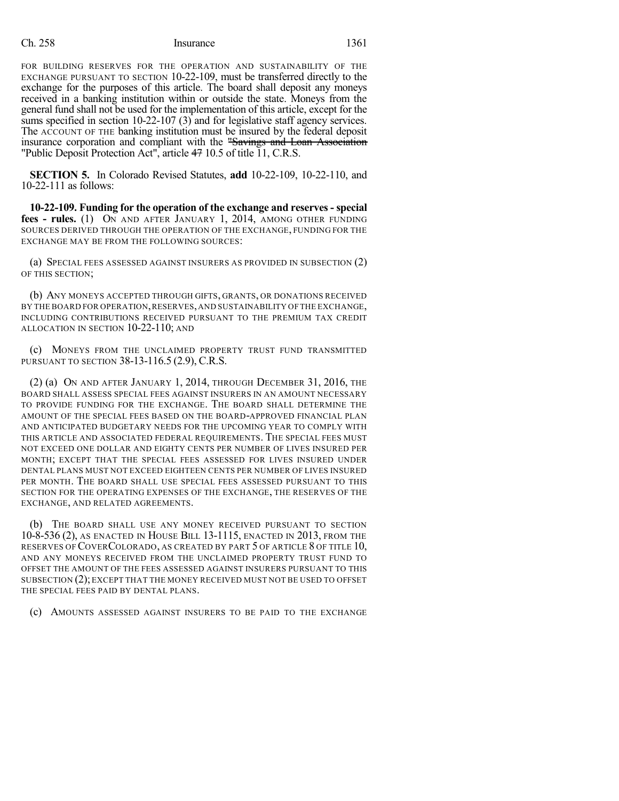## Ch. 258 Insurance 1361

FOR BUILDING RESERVES FOR THE OPERATION AND SUSTAINABILITY OF THE EXCHANGE PURSUANT TO SECTION 10-22-109, must be transferred directly to the exchange for the purposes of this article. The board shall deposit any moneys received in a banking institution within or outside the state. Moneys from the general fund shall not be used for the implementation of this article, except for the sums specified in section 10-22-107 (3) and for legislative staff agency services. The ACCOUNT OF THE banking institution must be insured by the federal deposit insurance corporation and compliant with the "Savings and Loan Association "Public Deposit Protection Act", article 47 10.5 of title 11, C.R.S.

**SECTION 5.** In Colorado Revised Statutes, **add** 10-22-109, 10-22-110, and 10-22-111 as follows:

**10-22-109. Funding for the operation of the exchange and reserves - special fees - rules.** (1) ON AND AFTER JANUARY 1, 2014, AMONG OTHER FUNDING SOURCES DERIVED THROUGH THE OPERATION OF THE EXCHANGE, FUNDING FOR THE EXCHANGE MAY BE FROM THE FOLLOWING SOURCES:

(a) SPECIAL FEES ASSESSED AGAINST INSURERS AS PROVIDED IN SUBSECTION (2) OF THIS SECTION;

(b) ANY MONEYS ACCEPTED THROUGH GIFTS, GRANTS, OR DONATIONS RECEIVED BY THE BOARD FOR OPERATION,RESERVES,AND SUSTAINABILITY OF THE EXCHANGE, INCLUDING CONTRIBUTIONS RECEIVED PURSUANT TO THE PREMIUM TAX CREDIT ALLOCATION IN SECTION 10-22-110; AND

(c) MONEYS FROM THE UNCLAIMED PROPERTY TRUST FUND TRANSMITTED PURSUANT TO SECTION 38-13-116.5 (2.9), C.R.S.

(2) (a) ON AND AFTER JANUARY 1, 2014, THROUGH DECEMBER 31, 2016, THE BOARD SHALL ASSESS SPECIAL FEES AGAINST INSURERS IN AN AMOUNT NECESSARY TO PROVIDE FUNDING FOR THE EXCHANGE. THE BOARD SHALL DETERMINE THE AMOUNT OF THE SPECIAL FEES BASED ON THE BOARD-APPROVED FINANCIAL PLAN AND ANTICIPATED BUDGETARY NEEDS FOR THE UPCOMING YEAR TO COMPLY WITH THIS ARTICLE AND ASSOCIATED FEDERAL REQUIREMENTS. THE SPECIAL FEES MUST NOT EXCEED ONE DOLLAR AND EIGHTY CENTS PER NUMBER OF LIVES INSURED PER MONTH; EXCEPT THAT THE SPECIAL FEES ASSESSED FOR LIVES INSURED UNDER DENTAL PLANS MUST NOT EXCEED EIGHTEEN CENTS PER NUMBER OF LIVES INSURED PER MONTH. THE BOARD SHALL USE SPECIAL FEES ASSESSED PURSUANT TO THIS SECTION FOR THE OPERATING EXPENSES OF THE EXCHANGE, THE RESERVES OF THE EXCHANGE, AND RELATED AGREEMENTS.

(b) THE BOARD SHALL USE ANY MONEY RECEIVED PURSUANT TO SECTION 10-8-536 (2), AS ENACTED IN HOUSE BILL 13-1115, ENACTED IN 2013, FROM THE RESERVES OF COVERCOLORADO, AS CREATED BY PART 5 OF ARTICLE 8 OF TITLE 10, AND ANY MONEYS RECEIVED FROM THE UNCLAIMED PROPERTY TRUST FUND TO OFFSET THE AMOUNT OF THE FEES ASSESSED AGAINST INSURERS PURSUANT TO THIS SUBSECTION (2); EXCEPT THAT THE MONEY RECEIVED MUST NOT BE USED TO OFFSET THE SPECIAL FEES PAID BY DENTAL PLANS.

(c) AMOUNTS ASSESSED AGAINST INSURERS TO BE PAID TO THE EXCHANGE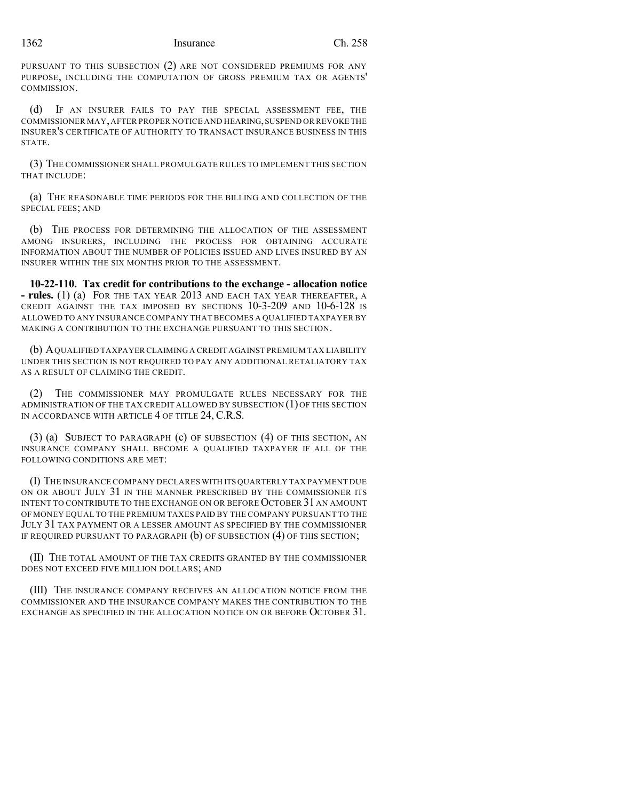PURSUANT TO THIS SUBSECTION (2) ARE NOT CONSIDERED PREMIUMS FOR ANY PURPOSE, INCLUDING THE COMPUTATION OF GROSS PREMIUM TAX OR AGENTS' COMMISSION.

(d) IF AN INSURER FAILS TO PAY THE SPECIAL ASSESSMENT FEE, THE COMMISSIONER MAY,AFTER PROPER NOTICE AND HEARING,SUSPEND OR REVOKE THE INSURER'S CERTIFICATE OF AUTHORITY TO TRANSACT INSURANCE BUSINESS IN THIS STATE.

(3) THE COMMISSIONER SHALL PROMULGATE RULES TO IMPLEMENT THIS SECTION THAT INCLUDE:

(a) THE REASONABLE TIME PERIODS FOR THE BILLING AND COLLECTION OF THE SPECIAL FEES; AND

(b) THE PROCESS FOR DETERMINING THE ALLOCATION OF THE ASSESSMENT AMONG INSURERS, INCLUDING THE PROCESS FOR OBTAINING ACCURATE INFORMATION ABOUT THE NUMBER OF POLICIES ISSUED AND LIVES INSURED BY AN INSURER WITHIN THE SIX MONTHS PRIOR TO THE ASSESSMENT.

**10-22-110. Tax credit for contributions to the exchange - allocation notice - rules.** (1) (a) FOR THE TAX YEAR 2013 AND EACH TAX YEAR THEREAFTER, A CREDIT AGAINST THE TAX IMPOSED BY SECTIONS 10-3-209 AND 10-6-128 IS ALLOWED TO ANY INSURANCE COMPANY THATBECOMES A QUALIFIED TAXPAYER BY MAKING A CONTRIBUTION TO THE EXCHANGE PURSUANT TO THIS SECTION.

(b) AQUALIFIED TAXPAYER CLAIMING A CREDIT AGAINST PREMIUM TAX LIABILITY UNDER THIS SECTION IS NOT REQUIRED TO PAY ANY ADDITIONAL RETALIATORY TAX AS A RESULT OF CLAIMING THE CREDIT.

(2) THE COMMISSIONER MAY PROMULGATE RULES NECESSARY FOR THE ADMINISTRATION OF THE TAX CREDIT ALLOWED BY SUBSECTION (1)OF THIS SECTION IN ACCORDANCE WITH ARTICLE 4 OF TITLE 24, C.R.S.

(3) (a) SUBJECT TO PARAGRAPH (c) OF SUBSECTION (4) OF THIS SECTION, AN INSURANCE COMPANY SHALL BECOME A QUALIFIED TAXPAYER IF ALL OF THE FOLLOWING CONDITIONS ARE MET:

(I) THE INSURANCE COMPANY DECLARES WITH ITS QUARTERLY TAX PAYMENT DUE ON OR ABOUT JULY 31 IN THE MANNER PRESCRIBED BY THE COMMISSIONER ITS INTENT TO CONTRIBUTE TO THE EXCHANGE ON OR BEFORE OCTOBER 31 AN AMOUNT OF MONEY EQUAL TO THE PREMIUM TAXES PAID BY THE COMPANY PURSUANT TO THE JULY 31 TAX PAYMENT OR A LESSER AMOUNT AS SPECIFIED BY THE COMMISSIONER IF REQUIRED PURSUANT TO PARAGRAPH (b) OF SUBSECTION (4) OF THIS SECTION;

(II) THE TOTAL AMOUNT OF THE TAX CREDITS GRANTED BY THE COMMISSIONER DOES NOT EXCEED FIVE MILLION DOLLARS; AND

(III) THE INSURANCE COMPANY RECEIVES AN ALLOCATION NOTICE FROM THE COMMISSIONER AND THE INSURANCE COMPANY MAKES THE CONTRIBUTION TO THE EXCHANGE AS SPECIFIED IN THE ALLOCATION NOTICE ON OR BEFORE OCTOBER 31.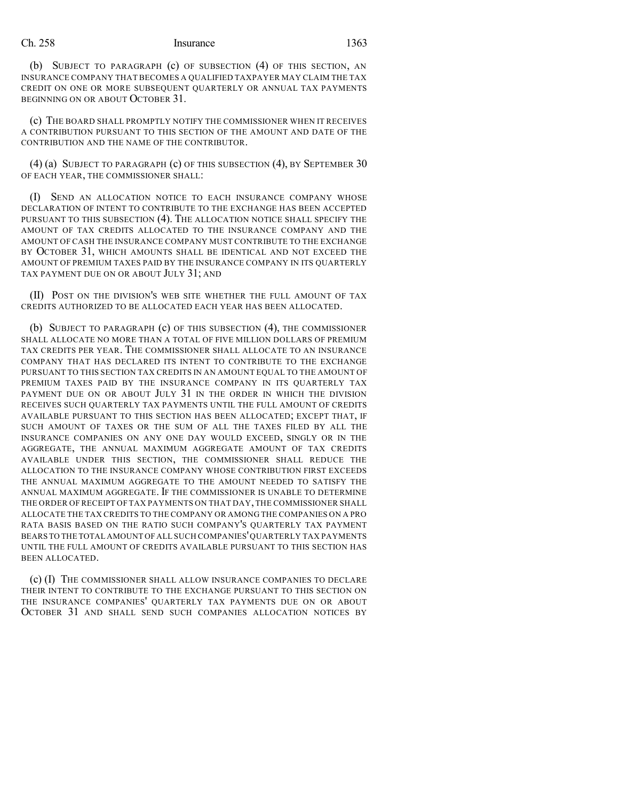## Ch. 258 Insurance 1363

(b) SUBJECT TO PARAGRAPH (c) OF SUBSECTION (4) OF THIS SECTION, AN INSURANCE COMPANY THAT BECOMES A QUALIFIED TAXPAYER MAY CLAIM THE TAX CREDIT ON ONE OR MORE SUBSEQUENT QUARTERLY OR ANNUAL TAX PAYMENTS BEGINNING ON OR ABOUT OCTOBER 31.

(c) THE BOARD SHALL PROMPTLY NOTIFY THE COMMISSIONER WHEN IT RECEIVES A CONTRIBUTION PURSUANT TO THIS SECTION OF THE AMOUNT AND DATE OF THE CONTRIBUTION AND THE NAME OF THE CONTRIBUTOR.

(4) (a) SUBJECT TO PARAGRAPH (c) OF THIS SUBSECTION (4), BY SEPTEMBER 30 OF EACH YEAR, THE COMMISSIONER SHALL:

(I) SEND AN ALLOCATION NOTICE TO EACH INSURANCE COMPANY WHOSE DECLARATION OF INTENT TO CONTRIBUTE TO THE EXCHANGE HAS BEEN ACCEPTED PURSUANT TO THIS SUBSECTION (4). THE ALLOCATION NOTICE SHALL SPECIFY THE AMOUNT OF TAX CREDITS ALLOCATED TO THE INSURANCE COMPANY AND THE AMOUNT OF CASH THE INSURANCE COMPANY MUST CONTRIBUTE TO THE EXCHANGE BY OCTOBER 31, WHICH AMOUNTS SHALL BE IDENTICAL AND NOT EXCEED THE AMOUNT OF PREMIUM TAXES PAID BY THE INSURANCE COMPANY IN ITS QUARTERLY TAX PAYMENT DUE ON OR ABOUT JULY 31; AND

(II) POST ON THE DIVISION'S WEB SITE WHETHER THE FULL AMOUNT OF TAX CREDITS AUTHORIZED TO BE ALLOCATED EACH YEAR HAS BEEN ALLOCATED.

(b) SUBJECT TO PARAGRAPH (c) OF THIS SUBSECTION (4), THE COMMISSIONER SHALL ALLOCATE NO MORE THAN A TOTAL OF FIVE MILLION DOLLARS OF PREMIUM TAX CREDITS PER YEAR. THE COMMISSIONER SHALL ALLOCATE TO AN INSURANCE COMPANY THAT HAS DECLARED ITS INTENT TO CONTRIBUTE TO THE EXCHANGE PURSUANT TO THIS SECTION TAX CREDITS IN AN AMOUNT EQUAL TO THE AMOUNT OF PREMIUM TAXES PAID BY THE INSURANCE COMPANY IN ITS QUARTERLY TAX PAYMENT DUE ON OR ABOUT JULY 31 IN THE ORDER IN WHICH THE DIVISION RECEIVES SUCH QUARTERLY TAX PAYMENTS UNTIL THE FULL AMOUNT OF CREDITS AVAILABLE PURSUANT TO THIS SECTION HAS BEEN ALLOCATED; EXCEPT THAT, IF SUCH AMOUNT OF TAXES OR THE SUM OF ALL THE TAXES FILED BY ALL THE INSURANCE COMPANIES ON ANY ONE DAY WOULD EXCEED, SINGLY OR IN THE AGGREGATE, THE ANNUAL MAXIMUM AGGREGATE AMOUNT OF TAX CREDITS AVAILABLE UNDER THIS SECTION, THE COMMISSIONER SHALL REDUCE THE ALLOCATION TO THE INSURANCE COMPANY WHOSE CONTRIBUTION FIRST EXCEEDS THE ANNUAL MAXIMUM AGGREGATE TO THE AMOUNT NEEDED TO SATISFY THE ANNUAL MAXIMUM AGGREGATE. IF THE COMMISSIONER IS UNABLE TO DETERMINE THE ORDER OF RECEIPT OF TAX PAYMENTS ON THAT DAY, THE COMMISSIONER SHALL ALLOCATE THE TAX CREDITS TO THE COMPANY OR AMONG THE COMPANIES ON A PRO RATA BASIS BASED ON THE RATIO SUCH COMPANY'S QUARTERLY TAX PAYMENT BEARS TO THE TOTAL AMOUNT OF ALL SUCH COMPANIES'QUARTERLY TAX PAYMENTS UNTIL THE FULL AMOUNT OF CREDITS AVAILABLE PURSUANT TO THIS SECTION HAS BEEN ALLOCATED.

(c) (I) THE COMMISSIONER SHALL ALLOW INSURANCE COMPANIES TO DECLARE THEIR INTENT TO CONTRIBUTE TO THE EXCHANGE PURSUANT TO THIS SECTION ON THE INSURANCE COMPANIES' QUARTERLY TAX PAYMENTS DUE ON OR ABOUT OCTOBER 31 AND SHALL SEND SUCH COMPANIES ALLOCATION NOTICES BY